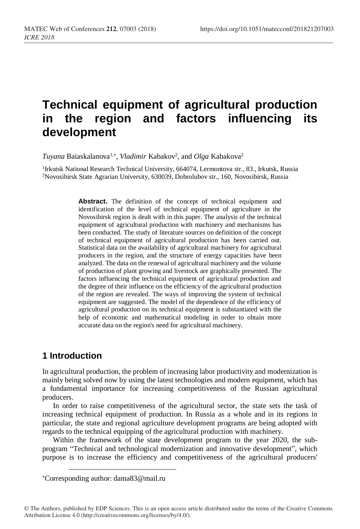# **Technical equipment of agricultural production in the region and factors influencing its development**

Tuyana Baiaskalanova<sup>1,\*</sup>, *Vladimir* Kabakov<sup>2</sup>, and *Olga* Kabakova<sup>2</sup>

<sup>1</sup>Irkutsk National Research Technical University, 664074, Lermontova str., 83., Irkutsk, Russia <sup>2</sup>Novosibirsk State Agrarian University, 630039, Dobrolubov str., 160, Novosibirsk, Russia

> **Abstract.** The definition of the concept of technical equipment and identification of the level of technical equipment of agriculture in the Novosibirsk region is dealt with in this paper. The analysis of the technical equipment of agricultural production with machinery and mechanisms has been conducted. The study of literature sources on definition of the concept of technical equipment of agricultural production has been carried out. Statistical data on the availability of agricultural machinery for agricultural producers in the region, and the structure of energy capacities have been analyzed. The data on the renewal of agricultural machinery and the volume of production of plant growing and livestock are graphically presented. The factors influencing the technical equipment of agricultural production and the degree of their influence on the efficiency of the agricultural production of the region are revealed. The ways of improving the system of technical equipment are suggested. The model of the dependence of the efficiency of agricultural production on its technical equipment is substantiated with the help of economic and mathematical modeling in order to obtain more accurate data on the region's need for agricultural machinery.

# **1 Introduction**

l

In agricultural production, the problem of increasing labor productivity and modernization is mainly being solved now by using the latest technologies and modern equipment, which has a fundamental importance for increasing competitiveness of the Russian agricultural producers.

In order to raise competitiveness of the agricultural sector, the state sets the task of increasing technical equipment of production. In Russia as a whole and in its regions in particular, the state and regional agriculture development programs are being adopted with regards to the technical equipping of the agricultural production with machinery.

Within the framework of the state development program to the year 2020, the subprogram "Technical and technological modernization and innovative development", which purpose is to increase the efficiency and competitiveness of the agricultural producers'

Corresponding author: dama83@mail.ru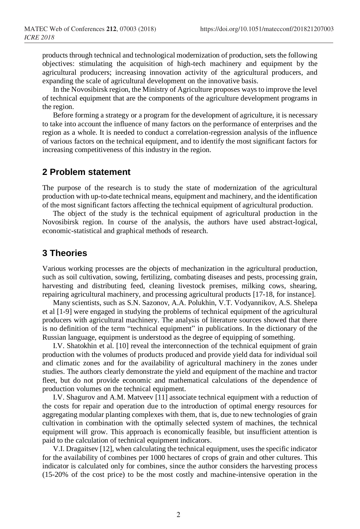products through technical and technological modernization of production, sets the following objectives: stimulating the acquisition of high-tech machinery and equipment by the agricultural producers; increasing innovation activity of the agricultural producers, and expanding the scale of agricultural development on the innovative basis.

In the Novosibirsk region, the Ministry of Agriculture proposes ways to improve the level of technical equipment that are the components of the agriculture development programs in the region.

Before forming a strategy or a program for the development of agriculture, it is necessary to take into account the influence of many factors on the performance of enterprises and the region as a whole. It is needed to conduct a correlation-regression analysis of the influence of various factors on the technical equipment, and to identify the most significant factors for increasing competitiveness of this industry in the region.

#### **2 Problem statement**

The purpose of the research is to study the state of modernization of the agricultural production with up-to-date technical means, equipment and machinery, and the identification of the most significant factors affecting the technical equipment of agricultural production.

The object of the study is the technical equipment of agricultural production in the Novosibirsk region. In course of the analysis, the authors have used abstract-logical, economic-statistical and graphical methods of research.

## **3 Theories**

Various working processes are the objects of mechanization in the agricultural production, such as soil cultivation, sowing, fertilizing, combating diseases and pests, processing grain, harvesting and distributing feed, cleaning livestock premises, milking cows, shearing, repairing agricultural machinery, and processing agricultural products [17-18, for instance].

Many scientists, such as S.N. Sazonov, A.A. Polukhin, V.T. Vodyannikov, A.S. Shelepa et al [1-9] were engaged in studying the problems of technical equipment of the agricultural producers with agricultural machinery. The analysis of literature sources showed that there is no definition of the term "technical equipment" in publications. In the dictionary of the Russian language, equipment is understood as the degree of equipping of something.

I.V. Shatokhin et al. [10] reveal the interconnection of the technical equipment of grain production with the volumes of products produced and provide yield data for individual soil and climatic zones and for the availability of agricultural machinery in the zones under studies. The authors clearly demonstrate the yield and equipment of the machine and tractor fleet, but do not provide economic and mathematical calculations of the dependence of production volumes on the technical equipment.

I.V. Shagurov and A.M. Matveev [11] associate technical equipment with a reduction of the costs for repair and operation due to the introduction of optimal energy resources for aggregating modular planting complexes with them, that is, due to new technologies of grain cultivation in combination with the optimally selected system of machines, the technical equipment will grow. This approach is economically feasible, but insufficient attention is paid to the calculation of technical equipment indicators.

V.I. Dragaitsev [12], when calculating the technical equipment, uses the specific indicator for the availability of combines per 1000 hectares of crops of grain and other cultures. This indicator is calculated only for combines, since the author considers the harvesting process (15-20% of the cost price) to be the most costly and machine-intensive operation in the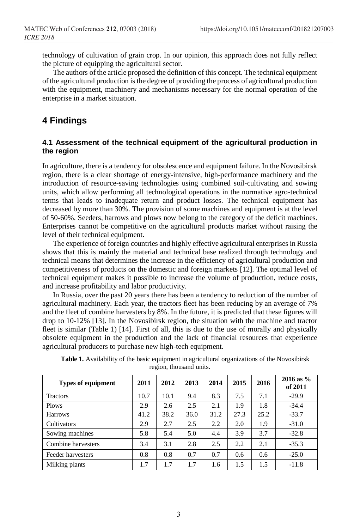technology of cultivation of grain crop. In our opinion, this approach does not fully reflect the picture of equipping the agricultural sector.

The authors of the article proposed the definition of this concept. The technical equipment of the agricultural production is the degree of providing the process of agricultural production with the equipment, machinery and mechanisms necessary for the normal operation of the enterprise in a market situation.

## **4 Findings**

#### **4.1 Assessment of the technical equipment of the agricultural production in the region**

In agriculture, there is a tendency for obsolescence and equipment failure. In the Novosibirsk region, there is a clear shortage of energy-intensive, high-performance machinery and the introduction of resource-saving technologies using combined soil-cultivating and sowing units, which allow performing all technological operations in the normative agro-technical terms that leads to inadequate return and product losses. The technical equipment has decreased by more than 30%. The provision of some machines and equipment is at the level of 50-60%. Seeders, harrows and plows now belong to the category of the deficit machines. Enterprises cannot be competitive on the agricultural products market without raising the level of their technical equipment.

The experience of foreign countries and highly effective agricultural enterprises in Russia shows that this is mainly the material and technical base realized through technology and technical means that determines the increase in the efficiency of agricultural production and competitiveness of products on the domestic and foreign markets [12]. The optimal level of technical equipment makes it possible to increase the volume of production, reduce costs, and increase profitability and labor productivity.

In Russia, over the past 20 years there has been a tendency to reduction of the number of agricultural machinery. Each year, the tractors fleet has been reducing by an average of 7% and the fleet of combine harvesters by 8%. In the future, it is predicted that these figures will drop to 10-12% [13]. In the Novosibirsk region, the situation with the machine and tractor fleet is similar (Table 1) [14]. First of all, this is due to the use of morally and physically obsolete equipment in the production and the lack of financial resources that experience agricultural producers to purchase new high-tech equipment.

| <b>Types of equipment</b> | 2011 | 2012 | 2013 | 2014 | 2015 | 2016 | $2016$ as %<br>of 2011 |
|---------------------------|------|------|------|------|------|------|------------------------|
| <b>Tractors</b>           | 10.7 | 10.1 | 9.4  | 8.3  | 7.5  | 7.1  | $-29.9$                |
| Plows                     | 2.9  | 2.6  | 2.5  | 2.1  | 1.9  | 1.8  | $-34.4$                |
| <b>Harrows</b>            | 41.2 | 38.2 | 36.0 | 31.2 | 27.3 | 25.2 | $-33.7$                |
| Cultivators               | 2.9  | 2.7  | 2.5  | 2.2  | 2.0  | 1.9  | $-31.0$                |
| Sowing machines           | 5.8  | 5.4  | 5.0  | 4.4  | 3.9  | 3.7  | $-32.8$                |
| Combine harvesters        | 3.4  | 3.1  | 2.8  | 2.5  | 2.2  | 2.1  | $-35.3$                |
| Feeder harvesters         | 0.8  | 0.8  | 0.7  | 0.7  | 0.6  | 0.6  | $-25.0$                |
| Milking plants            | 1.7  | 1.7  | 1.7  | 1.6  | 1.5  | 1.5  | $-11.8$                |

**Table 1.** Availability of the basic equipment in agricultural organizations of the Novosibirsk region, thousand units.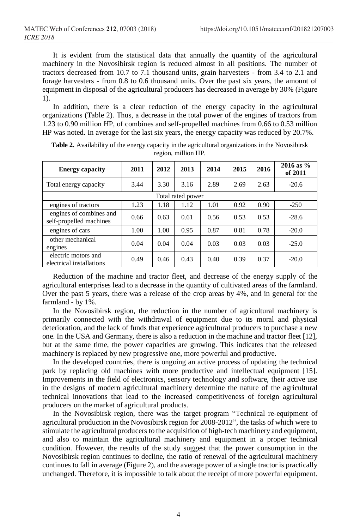It is evident from the statistical data that annually the quantity of the agricultural machinery in the Novosibirsk region is reduced almost in all positions. The number of tractors decreased from 10.7 to 7.1 thousand units, grain harvesters - from 3.4 to 2.1 and forage harvesters - from 0.8 to 0.6 thousand units. Over the past six years, the amount of equipment in disposal of the agricultural producers has decreased in average by 30% (Figure 1).

In addition, there is a clear reduction of the energy capacity in the agricultural organizations (Table 2). Thus, a decrease in the total power of the engines of tractors from 1.23 to 0.90 million HP, of combines and self-propelled machines from 0.66 to 0.53 million HP was noted. In average for the last six years, the energy capacity was reduced by 20.7%.

| <b>Energy capacity</b>                             | 2011 | 2012 | 2013 | 2014 | 2015 | 2016 | $2016$ as %<br>of 2011 |  |  |
|----------------------------------------------------|------|------|------|------|------|------|------------------------|--|--|
| Total energy capacity                              | 3.44 | 3.30 | 3.16 | 2.89 | 2.69 | 2.63 | $-20.6$                |  |  |
| Total rated power                                  |      |      |      |      |      |      |                        |  |  |
| engines of tractors                                | 1.23 | 1.18 | 1.12 | 1.01 | 0.92 | 0.90 | $-250$                 |  |  |
| engines of combines and<br>self-propelled machines | 0.66 | 0.63 | 0.61 | 0.56 | 0.53 | 0.53 | $-28.6$                |  |  |
| engines of cars                                    | 1.00 | 1.00 | 0.95 | 0.87 | 0.81 | 0.78 | $-20.0$                |  |  |
| other mechanical<br>engines                        | 0.04 | 0.04 | 0.04 | 0.03 | 0.03 | 0.03 | $-25.0$                |  |  |
| electric motors and<br>electrical installations    | 0.49 | 0.46 | 0.43 | 0.40 | 0.39 | 0.37 | $-20.0$                |  |  |

**Table 2.** Availability of the energy capacity in the agricultural organizations in the Novosibirsk region, million HP.

Reduction of the machine and tractor fleet, and decrease of the energy supply of the agricultural enterprises lead to a decrease in the quantity of cultivated areas of the farmland. Over the past 5 years, there was a release of the crop areas by 4%, and in general for the farmland - by 1%.

In the Novosibirsk region, the reduction in the number of agricultural machinery is primarily connected with the withdrawal of equipment due to its moral and physical deterioration, and the lack of funds that experience agricultural producers to purchase a new one. In the USA and Germany, there is also a reduction in the machine and tractor fleet [12], but at the same time, the power capacities are growing. This indicates that the released machinery is replaced by new progressive one, more powerful and productive.

In the developed countries, there is ongoing an active process of updating the technical park by replacing old machines with more productive and intellectual equipment [15]. Improvements in the field of electronics, sensory technology and software, their active use in the designs of modern agricultural machinery determine the nature of the agricultural technical innovations that lead to the increased competitiveness of foreign agricultural producers on the market of agricultural products.

In the Novosibirsk region, there was the target program "Technical re-equipment of agricultural production in the Novosibirsk region for 2008-2012", the tasks of which were to stimulate the agricultural producers to the acquisition of high-tech machinery and equipment, and also to maintain the agricultural machinery and equipment in a proper technical condition. However, the results of the study suggest that the power consumption in the Novosibirsk region continues to decline, the ratio of renewal of the agricultural machinery continues to fall in average (Figure 2), and the average power of a single tractor is practically unchanged. Therefore, it is impossible to talk about the receipt of more powerful equipment.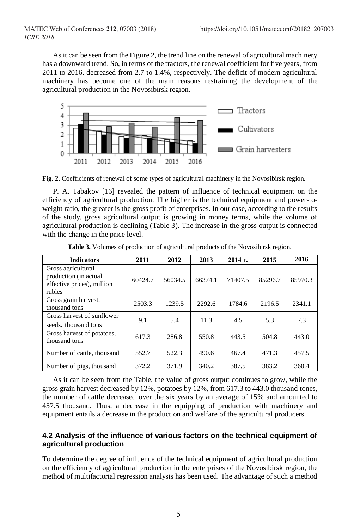As it can be seen from the Figure 2, the trend line on the renewal of agricultural machinery has a downward trend. So, in terms of the tractors, the renewal coefficient for five years, from 2011 to 2016, decreased from 2.7 to 1.4%, respectively. The deficit of modern agricultural machinery has become one of the main reasons restraining the development of the agricultural production in the Novosibirsk region.



**Fig. 2.** Coefficients of renewal of some types of agricultural machinery in the Novosibirsk region.

P. A. Tabakov [16] revealed the pattern of influence of technical equipment on the efficiency of agricultural production. The higher is the technical equipment and power-toweight ratio, the greater is the gross profit of enterprises. In our case, according to the results of the study, gross agricultural output is growing in money terms, while the volume of agricultural production is declining (Table 3). The increase in the gross output is connected with the change in the price level.

| <b>Indicators</b>                                                                   | 2011    | 2012    | 2013    | $2014$ г. | 2015    | 2016    |
|-------------------------------------------------------------------------------------|---------|---------|---------|-----------|---------|---------|
| Gross agricultural<br>production (in actual<br>effective prices), million<br>rubles | 60424.7 | 56034.5 | 66374.1 | 71407.5   | 85296.7 | 85970.3 |
| Gross grain harvest,<br>thousand tons                                               | 2503.3  | 1239.5  | 2292.6  | 1784.6    | 2196.5  | 2341.1  |
| Gross harvest of sunflower<br>seeds, thousand tons                                  | 9.1     | 5.4     | 11.3    | 4.5       | 5.3     | 7.3     |
| Gross harvest of potatoes,<br>thousand tons                                         | 617.3   | 286.8   | 550.8   | 443.5     | 504.8   | 443.0   |
| Number of cattle, thousand                                                          | 552.7   | 522.3   | 490.6   | 467.4     | 471.3   | 457.5   |
| Number of pigs, thousand                                                            | 372.2   | 371.9   | 340.2   | 387.5     | 383.2   | 360.4   |

**Table 3.** Volumes of production of agricultural products of the Novosibirsk region.

As it can be seen from the Table, the value of gross output continues to grow, while the gross grain harvest decreased by 12%, potatoes by 12%, from 617.3 to 443.0 thousand tones, the number of cattle decreased over the six years by an average of 15% and amounted to 457.5 thousand. Thus, a decrease in the equipping of production with machinery and equipment entails a decrease in the production and welfare of the agricultural producers.

#### **4.2 Analysis of the influence of various factors on the technical equipment of agricultural production**

To determine the degree of influence of the technical equipment of agricultural production on the efficiency of agricultural production in the enterprises of the Novosibirsk region, the method of multifactorial regression analysis has been used. The advantage of such a method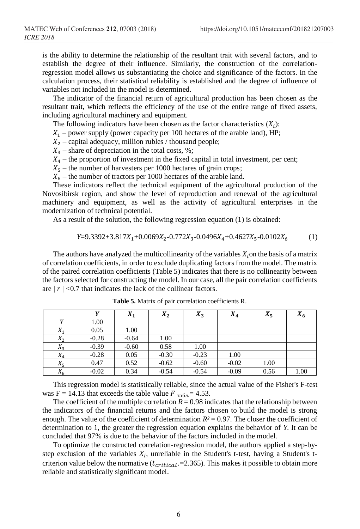is the ability to determine the relationship of the resultant trait with several factors, and to establish the degree of their influence. Similarly, the construction of the correlationregression model allows us substantiating the choice and significance of the factors. In the calculation process, their statistical reliability is established and the degree of influence of variables not included in the model is determined.

The indicator of the financial return of agricultural production has been chosen as the resultant trait, which reflects the efficiency of the use of the entire range of fixed assets, including agricultural machinery and equipment.

The following indicators have been chosen as the factor characteristics  $(X_i)$ :

 $X_1$  – power supply (power capacity per 100 hectares of the arable land), HP;

- $X_2$  capital adequacy, million rubles / thousand people;
- $X_3$  share of depreciation in the total costs, %;
- $X_4$  the proportion of investment in the fixed capital in total investment, per cent;
- $X_5$  the number of harvesters per 1000 hectares of grain crops;
- $X_6$  the number of tractors per 1000 hectares of the arable land.

These indicators reflect the technical equipment of the agricultural production of the Novosibirsk region, and show the level of reproduction and renewal of the agricultural machinery and equipment, as well as the activity of agricultural enterprises in the modernization of technical potential.

As a result of the solution, the following regression equation (1) is obtained:

 $Y=9.3392+3.817X_1+0.0069X_2-0.772X_3-0.0496X_4+0.4627X_5-0.0102X_6$  (1)

The authors have analyzed the multicollinearity of the variables  $X_i$  on the basis of a matrix of correlation coefficients, in order to exclude duplicating factors from the model. The matrix of the paired correlation coefficients (Table 5) indicates that there is no collinearity between the factors selected for constructing the model. In our case, all the pair correlation coefficients are *| r |* <0.7 that indicates the lack of the collinear factors.

|         |         | $X_1$   | $X_2$   | $X_3$   | $X_4$   | $X_5$ | $X_6$ |
|---------|---------|---------|---------|---------|---------|-------|-------|
|         | 1.00    |         |         |         |         |       |       |
| $X_1$   | 0.05    | 1.00    |         |         |         |       |       |
| $X_2$   | $-0.28$ | $-0.64$ | 1.00    |         |         |       |       |
| $X_{2}$ | $-0.39$ | $-0.60$ | 0.58    | 1.00    |         |       |       |
| $X_4$   | $-0.28$ | 0.05    | $-0.30$ | $-0.23$ | 1.00    |       |       |
| $X_5$   | 0.47    | 0.52    | $-0.62$ | $-0.60$ | $-0.02$ | 1.00  |       |
| v<br>Δ6 | $-0.02$ | 0.34    | $-0.54$ | $-0.54$ | $-0.09$ | 0.56  | 1.00  |

**Table 5.** Matrix of pair correlation coefficients R.

This regression model is statistically reliable, since the actual value of the Fisher's F-test was F = 14.13 that exceeds the table value  $F_{\text{rad}} = 4.53$ .

The coefficient of the multiple correlation  $R = 0.98$  indicates that the relationship between the indicators of the financial returns and the factors chosen to build the model is strong enough. The value of the coefficient of determination  $R<sup>2</sup> = 0.97$ . The closer the coefficient of determination to 1, the greater the regression equation explains the behavior of *Y*. It can be concluded that 97% is due to the behavior of the factors included in the model.

To optimize the constructed correlation-regression model, the authors applied a step-bystep exclusion of the variables  $X_i$ , unreliable in the Student's t-test, having a Student's tcriterion value below the normative  $(t_{critical} = 2.365)$ . This makes it possible to obtain more reliable and statistically significant model.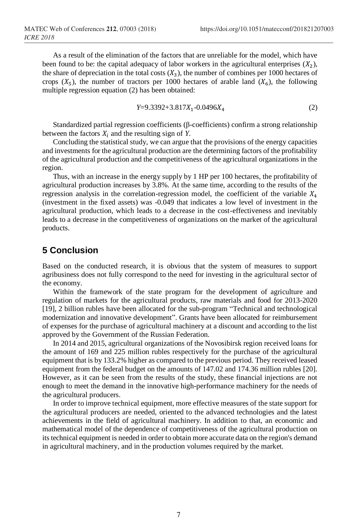As a result of the elimination of the factors that are unreliable for the model, which have been found to be: the capital adequacy of labor workers in the agricultural enterprises  $(X_2)$ , the share of depreciation in the total costs  $(X_3)$ , the number of combines per 1000 hectares of crops  $(X_5)$ , the number of tractors per 1000 hectares of arable land  $(X_6)$ , the following multiple regression equation (2) has been obtained:

$$
Y=9.3392+3.817X_1-0.0496X_4\tag{2}
$$

Standardized partial regression coefficients (β-coefficients) confirm a strong relationship between the factors  $X_i$  and the resulting sign of  $Y$ .

Concluding the statistical study, we can argue that the provisions of the energy capacities and investments for the agricultural production are the determining factors of the profitability of the agricultural production and the competitiveness of the agricultural organizations in the region.

Thus, with an increase in the energy supply by 1 HP per 100 hectares, the profitability of agricultural production increases by 3.8%. At the same time, according to the results of the regression analysis in the correlation-regression model, the coefficient of the variable  $X_4$ (investment in the fixed assets) was -0.049 that indicates a low level of investment in the agricultural production, which leads to a decrease in the cost-effectiveness and inevitably leads to a decrease in the competitiveness of organizations on the market of the agricultural products.

## **5 Conclusion**

Based on the conducted research, it is obvious that the system of measures to support agribusiness does not fully correspond to the need for investing in the agricultural sector of the economy.

Within the framework of the state program for the development of agriculture and regulation of markets for the agricultural products, raw materials and food for 2013-2020 [19], 2 billion rubles have been allocated for the sub-program "Technical and technological modernization and innovative development". Grants have been allocated for reimbursement of expenses for the purchase of agricultural machinery at a discount and according to the list approved by the Government of the Russian Federation.

In 2014 and 2015, agricultural organizations of the Novosibirsk region received loans for the amount of 169 and 225 million rubles respectively for the purchase of the agricultural equipment thatis by 133.2% higher as compared to the previous period. They received leased equipment from the federal budget on the amounts of 147.02 and 174.36 million rubles [20]. However, as it can be seen from the results of the study, these financial injections are not enough to meet the demand in the innovative high-performance machinery for the needs of the agricultural producers.

In order to improve technical equipment, more effective measures of the state support for the agricultural producers are needed, oriented to the advanced technologies and the latest achievements in the field of agricultural machinery. In addition to that, an economic and mathematical model of the dependence of competitiveness of the agricultural production on its technical equipment is needed in order to obtain more accurate data on the region's demand in agricultural machinery, and in the production volumes required by the market.